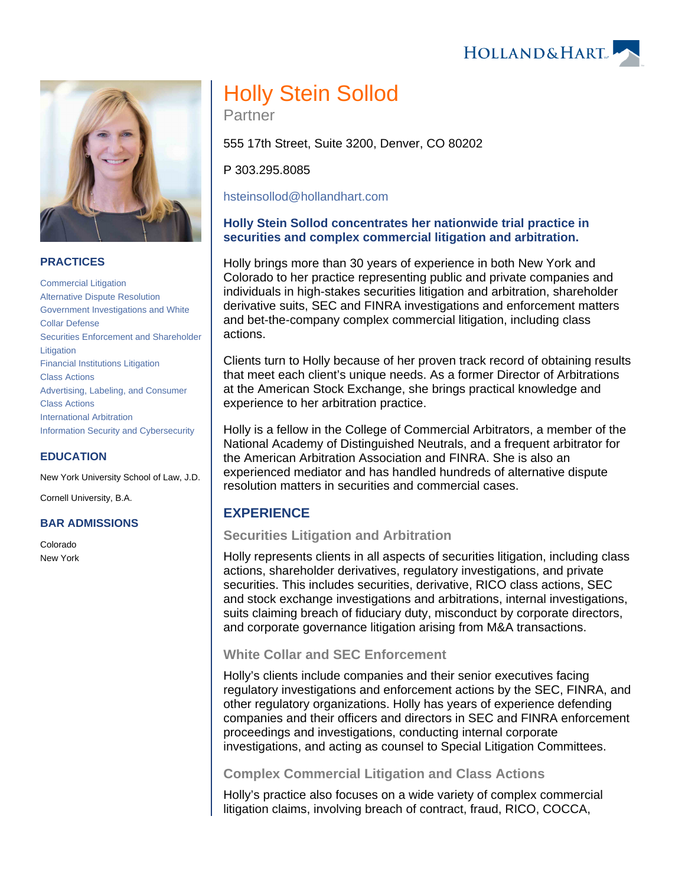



## **PRACTICES**

[Commercial Litigation](https://www.hollandhart.com/19684) [Alternative Dispute Resolution](https://www.hollandhart.com/19689) [Government Investigations and White](https://www.hollandhart.com/19750)  [Collar Defense](https://www.hollandhart.com/19750) [Securities Enforcement and Shareholder](https://www.hollandhart.com/19677)  [Litigation](https://www.hollandhart.com/19677) [Financial Institutions Litigation](https://www.hollandhart.com/28488)  [Class Actions](https://www.hollandhart.com/28489) [Advertising, Labeling, and Consumer](https://www.hollandhart.com/32279)  [Class Actions](https://www.hollandhart.com/32279) [International Arbitration](https://www.hollandhart.com/33101) [Information Security and Cybersecurity](https://www.hollandhart.com/19765)

#### **EDUCATION**

New York University School of Law, J.D.

Cornell University, B.A.

#### **BAR ADMISSIONS**

Colorado New York

# Holly Stein Sollod

Partner

555 17th Street, Suite 3200, Denver, CO 80202

P 303.295.8085

[hsteinsollod@hollandhart.com](mailto:hsteinsollod@hollandhart.com)

## **Holly Stein Sollod concentrates her nationwide trial practice in securities and complex commercial litigation and arbitration.**

Holly brings more than 30 years of experience in both New York and Colorado to her practice representing public and private companies and individuals in high-stakes securities litigation and arbitration, shareholder derivative suits, SEC and FINRA investigations and enforcement matters and bet-the-company complex commercial litigation, including class actions.

Clients turn to Holly because of her proven track record of obtaining results that meet each client's unique needs. As a former Director of Arbitrations at the American Stock Exchange, she brings practical knowledge and experience to her arbitration practice.

Holly is a fellow in the College of Commercial Arbitrators, a member of the National Academy of Distinguished Neutrals, and a frequent arbitrator for the American Arbitration Association and FINRA. She is also an experienced mediator and has handled hundreds of alternative dispute resolution matters in securities and commercial cases.

# **EXPERIENCE**

## **Securities Litigation and Arbitration**

Holly represents clients in all aspects of securities litigation, including class actions, shareholder derivatives, regulatory investigations, and private securities. This includes securities, derivative, RICO class actions, SEC and stock exchange investigations and arbitrations, internal investigations, suits claiming breach of fiduciary duty, misconduct by corporate directors, and corporate governance litigation arising from M&A transactions.

## **White Collar and SEC Enforcement**

Holly's clients include companies and their senior executives facing regulatory investigations and enforcement actions by the SEC, FINRA, and other regulatory organizations. Holly has years of experience defending companies and their officers and directors in SEC and FINRA enforcement proceedings and investigations, conducting internal corporate investigations, and acting as counsel to Special Litigation Committees.

# **Complex Commercial Litigation and Class Actions**

Holly's practice also focuses on a wide variety of complex commercial litigation claims, involving breach of contract, fraud, RICO, COCCA,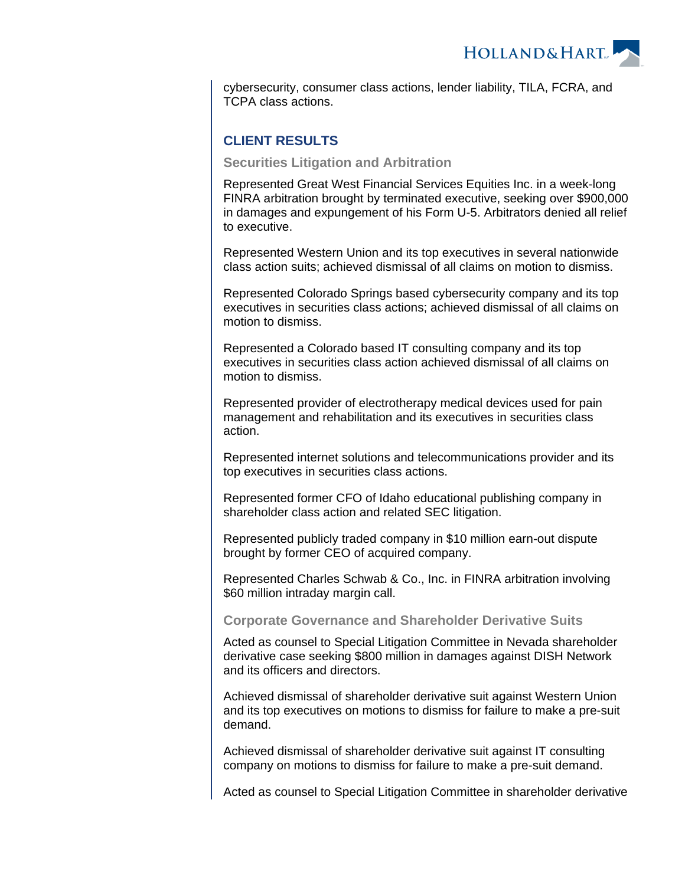**HOLLAND&HART** 

cybersecurity, consumer class actions, lender liability, TILA, FCRA, and TCPA class actions.

# **CLIENT RESULTS**

### **Securities Litigation and Arbitration**

Represented Great West Financial Services Equities Inc. in a week-long FINRA arbitration brought by terminated executive, seeking over \$900,000 in damages and expungement of his Form U-5. Arbitrators denied all relief to executive.

Represented Western Union and its top executives in several nationwide class action suits; achieved dismissal of all claims on motion to dismiss.

Represented Colorado Springs based cybersecurity company and its top executives in securities class actions; achieved dismissal of all claims on motion to dismiss.

Represented a Colorado based IT consulting company and its top executives in securities class action achieved dismissal of all claims on motion to dismiss.

Represented provider of electrotherapy medical devices used for pain management and rehabilitation and its executives in securities class action.

Represented internet solutions and telecommunications provider and its top executives in securities class actions.

Represented former CFO of Idaho educational publishing company in shareholder class action and related SEC litigation.

Represented publicly traded company in \$10 million earn-out dispute brought by former CEO of acquired company.

Represented Charles Schwab & Co., Inc. in FINRA arbitration involving \$60 million intraday margin call.

**Corporate Governance and Shareholder Derivative Suits**

Acted as counsel to Special Litigation Committee in Nevada shareholder derivative case seeking \$800 million in damages against DISH Network and its officers and directors.

Achieved dismissal of shareholder derivative suit against Western Union and its top executives on motions to dismiss for failure to make a pre-suit demand.

Achieved dismissal of shareholder derivative suit against IT consulting company on motions to dismiss for failure to make a pre-suit demand.

Acted as counsel to Special Litigation Committee in shareholder derivative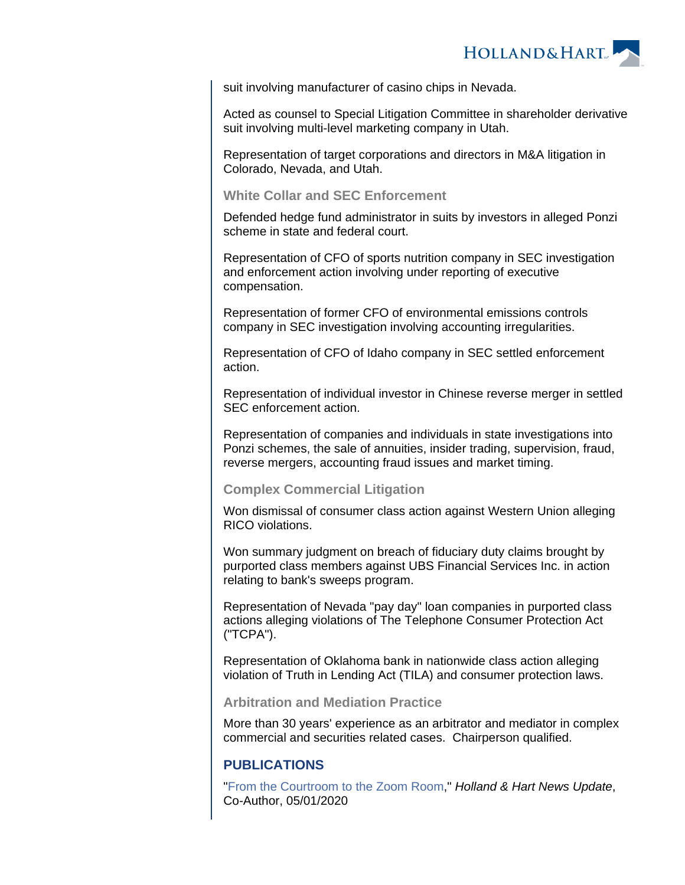

suit involving manufacturer of casino chips in Nevada.

Acted as counsel to Special Litigation Committee in shareholder derivative suit involving multi-level marketing company in Utah.

Representation of target corporations and directors in M&A litigation in Colorado, Nevada, and Utah.

## **White Collar and SEC Enforcement**

Defended hedge fund administrator in suits by investors in alleged Ponzi scheme in state and federal court.

Representation of CFO of sports nutrition company in SEC investigation and enforcement action involving under reporting of executive compensation.

Representation of former CFO of environmental emissions controls company in SEC investigation involving accounting irregularities.

Representation of CFO of Idaho company in SEC settled enforcement action.

Representation of individual investor in Chinese reverse merger in settled SEC enforcement action.

Representation of companies and individuals in state investigations into Ponzi schemes, the sale of annuities, insider trading, supervision, fraud, reverse mergers, accounting fraud issues and market timing.

## **Complex Commercial Litigation**

Won dismissal of consumer class action against Western Union alleging RICO violations.

Won summary judgment on breach of fiduciary duty claims brought by purported class members against UBS Financial Services Inc. in action relating to bank's sweeps program.

Representation of Nevada "pay day" loan companies in purported class actions alleging violations of The Telephone Consumer Protection Act ("TCPA").

Representation of Oklahoma bank in nationwide class action alleging violation of Truth in Lending Act (TILA) and consumer protection laws.

## **Arbitration and Mediation Practice**

More than 30 years' experience as an arbitrator and mediator in complex commercial and securities related cases. Chairperson qualified.

# **PUBLICATIONS**

"[From the Courtroom to the Zoom Room,](https://www.hollandhart.com/37461)" Holland & Hart News Update, Co-Author, 05/01/2020